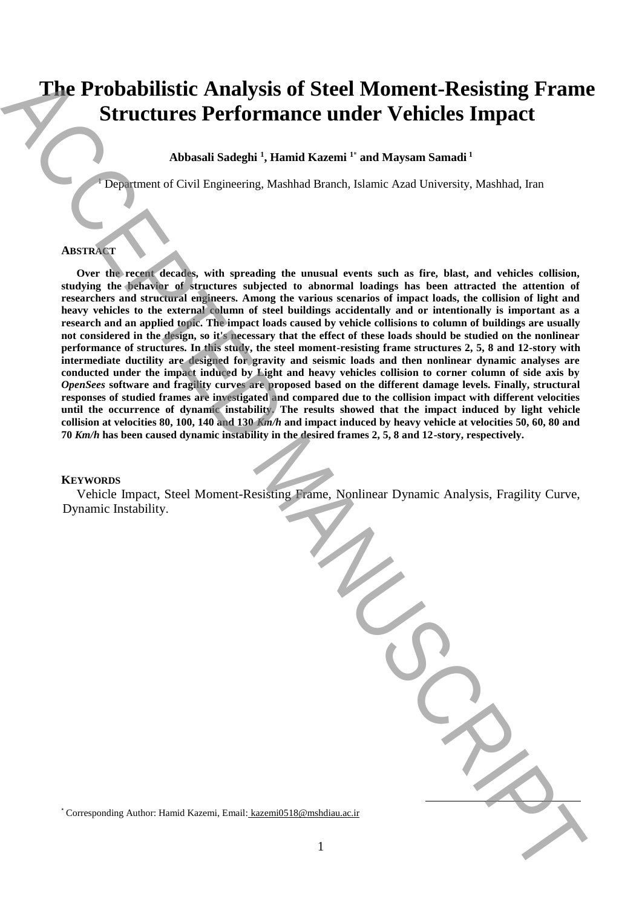# **The Probabilistic Analysis of Steel Moment-Resisting Frame Structures Performance under Vehicles Impact**

**Abbasali Sadeghi <sup>1</sup> , Hamid Kazemi <sup>1</sup>**\* **and Maysam Samadi <sup>1</sup>**

<sup>1</sup> Department of Civil Engineering, Mashhad Branch, Islamic Azad University, Mashhad, Iran

## **ABSTRACT**

**Over the recent decades, with spreading the unusual events such as fire, blast, and vehicles collision, studying the behavior of structures subjected to abnormal loadings has been attracted the attention of researchers and structural engineers. Among the various scenarios of impact loads, the collision of light and heavy vehicles to the external column of steel buildings accidentally and or intentionally is important as a research and an applied topic. The impact loads caused by vehicle collisions to column of buildings are usually not considered in the design, so it's necessary that the effect of these loads should be studied on the nonlinear performance of structures. In this study, the steel moment-resisting frame structures 2, 5, 8 and 12-story with intermediate ductility are designed for gravity and seismic loads and then nonlinear dynamic analyses are conducted under the impact induced by Light and heavy vehicles collision to corner column of side axis by**  *OpenSees* **software and fragility curves are proposed based on the different damage levels. Finally, structural responses of studied frames are investigated and compared due to the collision impact with different velocities until the occurrence of dynamic instability. The results showed that the impact induced by light vehicle collision at velocities 80, 100, 140 and 130** *Km/h* **and impact induced by heavy vehicle at velocities 50, 60, 80 and 70** *Km/h* **has been caused dynamic instability in the desired frames 2, 5, 8 and 12-story, respectively. The Probabilistic Analysis of Steel Moment-Resisting Frame<br>
Structures Performance under Vehicles Impact<br>
Automobile Author: Analysis and the same of Corresponding Author: Analysis and the same of the same of the same<br>
A** 

#### **KEYWORDS**

Vehicle Impact, Steel Moment*-*Resisting Frame, Nonlinear Dynamic Analysis, Fragility Curve, Dynamic Instability.

| <u>ac.ir</u> |  |
|--------------|--|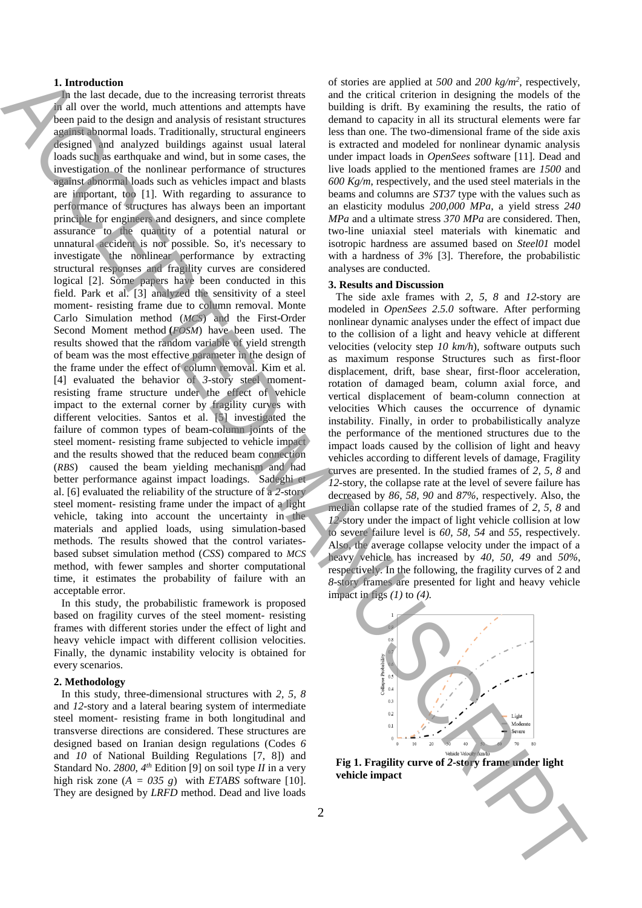#### **1. Introduction**

 In the last decade, due to the increasing terrorist threats in all over the world, much attentions and attempts have been paid to the design and analysis of resistant structures against abnormal loads. Traditionally, structural engineers designed and analyzed buildings against usual lateral loads such as earthquake and wind, but in some cases, the investigation of the nonlinear performance of structures against abnormal loads such as vehicles impact and blasts are important, too [1]. With regarding to assurance to performance of structures has always been an important principle for engineers and designers, and since complete assurance to the quantity of a potential natural or unnatural accident is not possible. So, it's necessary to investigate the nonlinear performance by extracting structural responses and fragility curves are considered logical [2]. Some papers have been conducted in this field. Park et al. [3] analyzed the sensitivity of a steel moment- resisting frame due to column removal. Monte Carlo Simulation method (*MCS*) and the First-Order Second Moment method **(***FOSM*) have been used. The results showed that the random variable of yield strength of beam was the most effective parameter in the design of the frame under the effect of column removal. Kim et al. [4] evaluated the behavior of *3*-story steel momentresisting frame structure under the effect of vehicle impact to the external corner by fragility curves with different velocities. Santos et al. [5] investigated the failure of common types of beam-column joints of the steel moment- resisting frame subjected to vehicle impact and the results showed that the reduced beam connection (*RBS*) caused the beam yielding mechanism and had better performance against impact loadings. Sadeghi et al. [6] evaluated the reliability of the structure of a *2-*story steel moment- resisting frame under the impact of a light vehicle, taking into account the uncertainty in the materials and applied loads, using simulation-based methods. The results showed that the control variatesbased subset simulation method (*CSS*) compared to *MCS* method, with fewer samples and shorter computational time, it estimates the probability of failure with an acceptable error. **F** and both the the traction of state and state and state and the control of the state and the state and the state of the state and the state and the state and the state and the state and the state and the state and the

In this study, the probabilistic framework is proposed based on fragility curves of the steel moment- resisting frames with different stories under the effect of light and heavy vehicle impact with different collision velocities. Finally, the dynamic instability velocity is obtained for every scenarios.

#### **2. Methodology**

In this study, three-dimensional structures with *2, 5, 8*  and *12-*story and a lateral bearing system of intermediate steel moment- resisting frame in both longitudinal and transverse directions are considered. These structures are designed based on Iranian design regulations (Codes *6* and *10* of National Building Regulations [7, 8]) and Standard No. 2800, 4<sup>th</sup> Edition [9] on soil type *II* in a very high risk zone  $(A = 035 g)$  with *ETABS* software [10]. They are designed by *LRFD* method. Dead and live loads

of stories are applied at *500* and *200 kg/m<sup>2</sup>* , respectively, and the critical criterion in designing the models of the building is drift. By examining the results, the ratio of demand to capacity in all its structural elements were far less than one. The two-dimensional frame of the side axis is extracted and modeled for nonlinear dynamic analysis under impact loads in *OpenSees* software [11]. Dead and live loads applied to the mentioned frames are *1500* and *600 Kg/m*, respectively, and the used steel materials in the beams and columns are *ST37* type with the values such as an elasticity modulus *200,000 MPa*, a yield stress *240 MPa* and a ultimate stress *370 MPa* are considered. Then, two-line uniaxial steel materials with kinematic and isotropic hardness are assumed based on *Steel01* model with a hardness of *3%* [3]. Therefore, the probabilistic analyses are conducted.

#### **3. Results and Discussion**

The side axle frames with *2, 5, 8* and *12-*story are modeled in *OpenSees 2.5.0* software. After performing nonlinear dynamic analyses under the effect of impact due to the collision of a light and heavy vehicle at different velocities (velocity step *10 km/h*), software outputs such as maximum response Structures such as first-floor displacement, drift, base shear, first-floor acceleration, rotation of damaged beam, column axial force, and vertical displacement of beam-column connection at velocities Which causes the occurrence of dynamic instability. Finally, in order to probabilistically analyze the performance of the mentioned structures due to the impact loads caused by the collision of light and heavy vehicles according to different levels of damage, Fragility curves are presented. In the studied frames of *2, 5, 8* and *12-*story, the collapse rate at the level of severe failure has decreased by *86, 58, 90* and *87%*, respectively. Also, the median collapse rate of the studied frames of *2, 5, 8* and *12-*story under the impact of light vehicle collision at low to severe failure level is *60, 58, 54* and *55*, respectively. Also, the average collapse velocity under the impact of a heavy vehicle has increased by *40, 50, 49* and *50%*, respectively. In the following, the fragility curves of 2 and *8-*story frames are presented for light and heavy vehicle impact in figs *(1)* to *(4).*



**Fig 1. Fragility curve of** *2-***story frame under light**